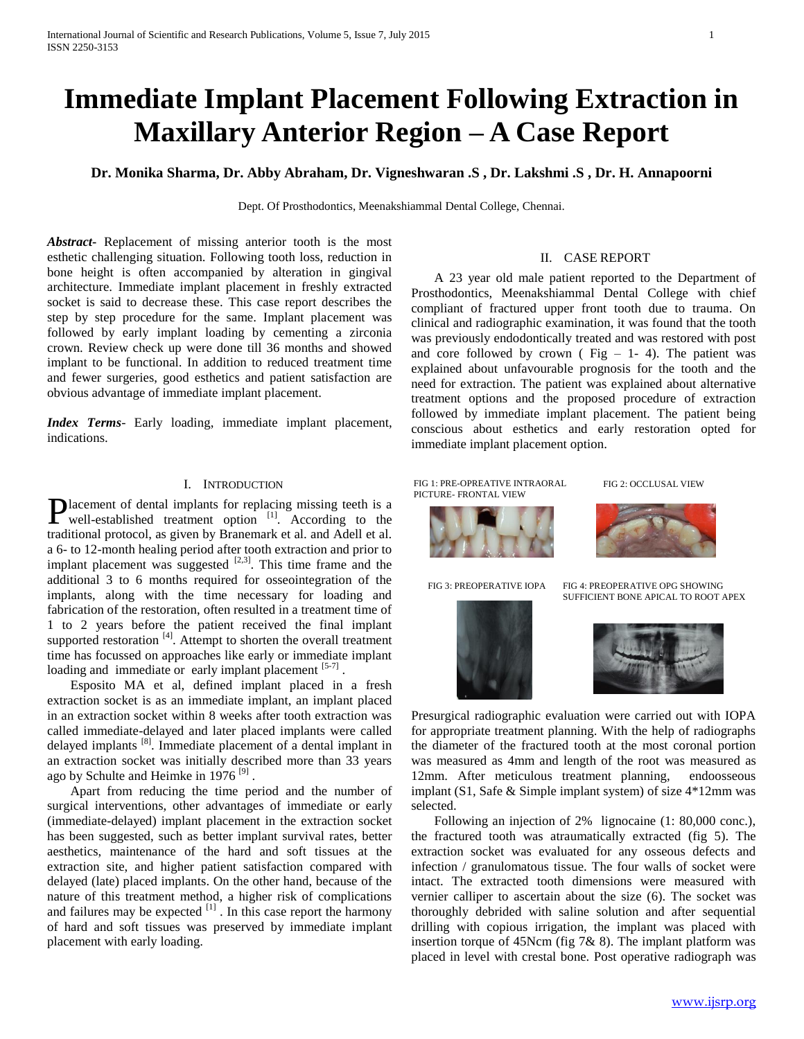# **Immediate Implant Placement Following Extraction in Maxillary Anterior Region – A Case Report**

**Dr. Monika Sharma, Dr. Abby Abraham, Dr. Vigneshwaran .S , Dr. Lakshmi .S , Dr. H. Annapoorni**

Dept. Of Prosthodontics, Meenakshiammal Dental College, Chennai.

*Abstract***-** Replacement of missing anterior tooth is the most esthetic challenging situation. Following tooth loss, reduction in bone height is often accompanied by alteration in gingival architecture. Immediate implant placement in freshly extracted socket is said to decrease these. This case report describes the step by step procedure for the same. Implant placement was followed by early implant loading by cementing a zirconia crown. Review check up were done till 36 months and showed implant to be functional. In addition to reduced treatment time and fewer surgeries, good esthetics and patient satisfaction are obvious advantage of immediate implant placement.

*Index Terms*- Early loading, immediate implant placement, indications.

## I. INTRODUCTION

lacement of dental implants for replacing missing teeth is a **P**lacement of dental implants for replacing missing teeth is a well-established treatment option  $\frac{11}{11}$ . According to the traditional protocol, as given by Branemark et al. and Adell et al. a 6- to 12-month healing period after tooth extraction and prior to implant placement was suggested  $^{[2,3]}$ . This time frame and the additional 3 to 6 months required for osseointegration of the implants, along with the time necessary for loading and fabrication of the restoration, often resulted in a treatment time of 1 to 2 years before the patient received the final implant supported restoration <sup>[4]</sup>. Attempt to shorten the overall treatment time has focussed on approaches like early or immediate implant loading and immediate or early implant placement  $[5-7]$ .

 Esposito MA et al, defined implant placed in a fresh extraction socket is as an immediate implant, an implant placed in an extraction socket within 8 weeks after tooth extraction was called immediate-delayed and later placed implants were called delayed implants [8]. Immediate placement of a dental implant in an extraction socket was initially described more than 33 years ago by Schulte and Heimke in 1976<sup>[9]</sup>.

 Apart from reducing the time period and the number of surgical interventions, other advantages of immediate or early (immediate-delayed) implant placement in the extraction socket has been suggested, such as better implant survival rates, better aesthetics, maintenance of the hard and soft tissues at the extraction site, and higher patient satisfaction compared with delayed (late) placed implants. On the other hand, because of the nature of this treatment method, a higher risk of complications and failures may be expected  $\left[1\right]$ . In this case report the harmony of hard and soft tissues was preserved by immediate implant placement with early loading.

## II. CASE REPORT

 A 23 year old male patient reported to the Department of Prosthodontics, Meenakshiammal Dental College with chief compliant of fractured upper front tooth due to trauma. On clinical and radiographic examination, it was found that the tooth was previously endodontically treated and was restored with post and core followed by crown ( $Fig - 1- 4$ ). The patient was explained about unfavourable prognosis for the tooth and the need for extraction. The patient was explained about alternative treatment options and the proposed procedure of extraction followed by immediate implant placement. The patient being conscious about esthetics and early restoration opted for immediate implant placement option.

 FIG 1: PRE-OPREATIVE INTRAORAL PICTURE- FRONTAL VIEW

FIG 2: OCCLUSAL VIEW



FIG 3: PREOPERATIVE IOPA FIG 4: PREOPERATIVE OPG SHOWING SUFFICIENT BONE APICAL TO ROOT APEX



Presurgical radiographic evaluation were carried out with IOPA for appropriate treatment planning. With the help of radiographs the diameter of the fractured tooth at the most coronal portion was measured as 4mm and length of the root was measured as 12mm. After meticulous treatment planning, endoosseous implant (S1, Safe & Simple implant system) of size 4\*12mm was selected.

 Following an injection of 2% lignocaine (1: 80,000 conc.), the fractured tooth was atraumatically extracted (fig 5). The extraction socket was evaluated for any osseous defects and infection / granulomatous tissue. The four walls of socket were intact. The extracted tooth dimensions were measured with vernier calliper to ascertain about the size (6). The socket was thoroughly debrided with saline solution and after sequential drilling with copious irrigation, the implant was placed with insertion torque of 45Ncm (fig 7& 8). The implant platform was placed in level with crestal bone. Post operative radiograph was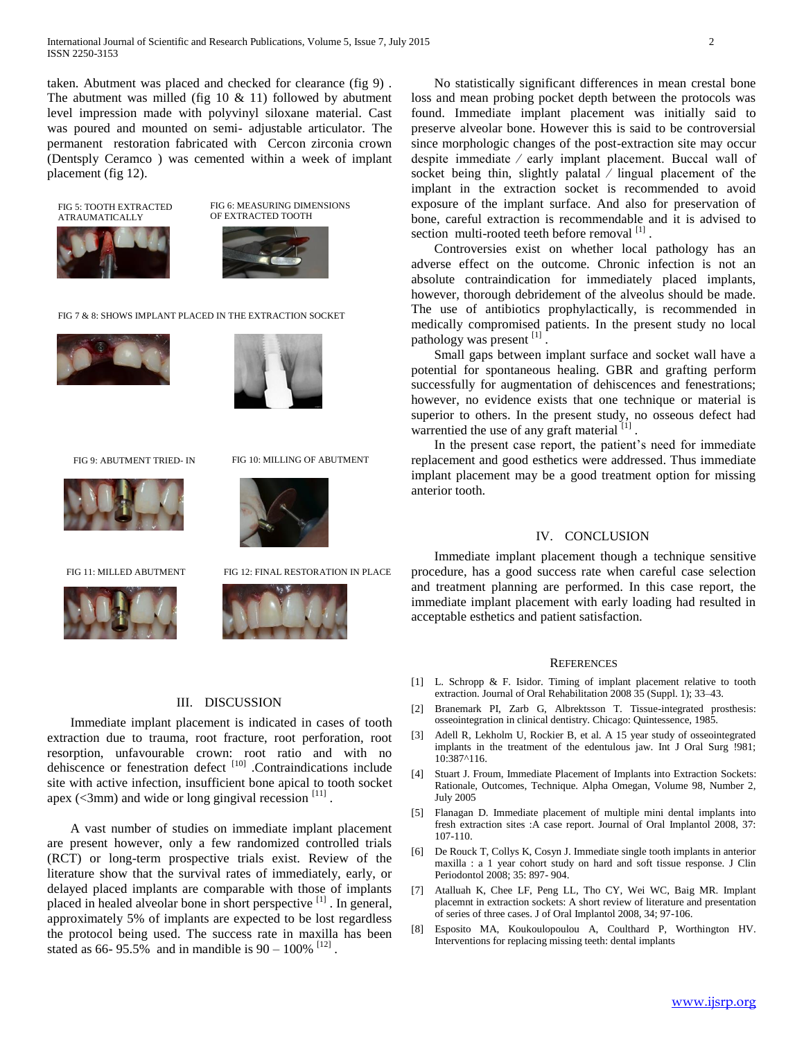taken. Abutment was placed and checked for clearance (fig 9) . The abutment was milled (fig  $10 \& 11$ ) followed by abutment level impression made with polyvinyl siloxane material. Cast was poured and mounted on semi- adjustable articulator. The permanent restoration fabricated with Cercon zirconia crown (Dentsply Ceramco ) was cemented within a week of implant placement (fig 12).

FIG 5: TOOTH EXTRACTED ATRAUMATICALLY



FIG 6: MEASURING DIMENSIONS OF EXTRACTED TOOTH

#### FIG 7 & 8: SHOWS IMPLANT PLACED IN THE EXTRACTION SOCKET







FIG 9: ABUTMENT TRIED- IN FIG 10: MILLING OF ABUTMENT



FIG 11: MILLED ABUTMENT FIG 12: FINAL RESTORATION IN PLACE



### III. DISCUSSION

 Immediate implant placement is indicated in cases of tooth extraction due to trauma, root fracture, root perforation, root resorption, unfavourable crown: root ratio and with no dehiscence or fenestration defect [10] .Contraindications include site with active infection, insufficient bone apical to tooth socket apex ( $\leq$ 3mm) and wide or long gingival recession  $^{[11]}$ .

 A vast number of studies on immediate implant placement are present however, only a few randomized controlled trials (RCT) or long-term prospective trials exist. Review of the literature show that the survival rates of immediately, early, or delayed placed implants are comparable with those of implants placed in healed alveolar bone in short perspective <sup>[1]</sup>. In general, approximately 5% of implants are expected to be lost regardless the protocol being used. The success rate in maxilla has been stated as 66-95.5% and in mandible is  $90 - 100\%$ <sup>[12]</sup>.

 No statistically significant differences in mean crestal bone loss and mean probing pocket depth between the protocols was found. Immediate implant placement was initially said to preserve alveolar bone. However this is said to be controversial since morphologic changes of the post-extraction site may occur despite immediate ⁄ early implant placement. Buccal wall of socket being thin, slightly palatal / lingual placement of the implant in the extraction socket is recommended to avoid exposure of the implant surface. And also for preservation of bone, careful extraction is recommendable and it is advised to section multi-rooted teeth before removal [1].

 Controversies exist on whether local pathology has an adverse effect on the outcome. Chronic infection is not an absolute contraindication for immediately placed implants, however, thorough debridement of the alveolus should be made. The use of antibiotics prophylactically, is recommended in medically compromised patients. In the present study no local pathology was present [1].

 Small gaps between implant surface and socket wall have a potential for spontaneous healing. GBR and grafting perform successfully for augmentation of dehiscences and fenestrations; however, no evidence exists that one technique or material is superior to others. In the present study, no osseous defect had warrentied the use of any graft material  $[1]$ .

 In the present case report, the patient's need for immediate replacement and good esthetics were addressed. Thus immediate implant placement may be a good treatment option for missing anterior tooth.

### IV. CONCLUSION

 Immediate implant placement though a technique sensitive procedure, has a good success rate when careful case selection and treatment planning are performed. In this case report, the immediate implant placement with early loading had resulted in acceptable esthetics and patient satisfaction.

#### **REFERENCES**

- [1] L. Schropp & F. Isidor. Timing of implant placement relative to tooth extraction. Journal of Oral Rehabilitation 2008 35 (Suppl. 1); 33–43.
- [2] Branemark PI, Zarb G, Albrektsson T. Tissue-integrated prosthesis: osseointegration in clinical dentistry. Chicago: Quintessence, 1985.
- [3] Adell R, Lekholm U, Rockier B, et al. A 15 year study of osseointegrated implants in the treatment of the edentulous jaw. Int J Oral Surg !981; 10:387^116.
- [4] Stuart J. Froum, Immediate Placement of Implants into Extraction Sockets: Rationale, Outcomes, Technique. Alpha Omegan, Volume 98, Number 2, July 2005
- [5] Flanagan D. Immediate placement of multiple mini dental implants into fresh extraction sites :A case report. Journal of Oral Implantol 2008, 37: 107-110.
- [6] De Rouck T, Collys K, Cosyn J. Immediate single tooth implants in anterior maxilla : a 1 year cohort study on hard and soft tissue response. J Clin Periodontol 2008; 35: 897- 904.
- [7] Atalluah K, Chee LF, Peng LL, Tho CY, Wei WC, Baig MR. Implant placemnt in extraction sockets: A short review of literature and presentation of series of three cases. J of Oral Implantol 2008, 34; 97-106.
- [8] Esposito MA, Koukoulopoulou A, Coulthard P, Worthington HV. Interventions for replacing missing teeth: dental implants